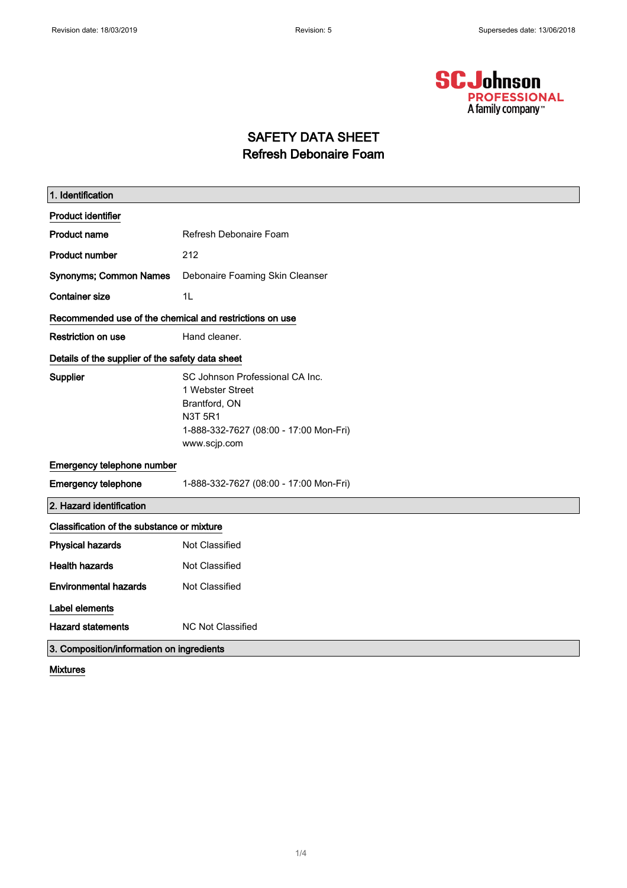

# SAFETY DATA SHEET Refresh Debonaire Foam

| 1. Identification                                       |                                                                                                                                                  |  |
|---------------------------------------------------------|--------------------------------------------------------------------------------------------------------------------------------------------------|--|
| <b>Product identifier</b>                               |                                                                                                                                                  |  |
| <b>Product name</b>                                     | Refresh Debonaire Foam                                                                                                                           |  |
| <b>Product number</b>                                   | 212                                                                                                                                              |  |
| <b>Synonyms; Common Names</b>                           | Debonaire Foaming Skin Cleanser                                                                                                                  |  |
| <b>Container size</b>                                   | 1 <sub>L</sub>                                                                                                                                   |  |
| Recommended use of the chemical and restrictions on use |                                                                                                                                                  |  |
| <b>Restriction on use</b>                               | Hand cleaner.                                                                                                                                    |  |
| Details of the supplier of the safety data sheet        |                                                                                                                                                  |  |
| Supplier                                                | SC Johnson Professional CA Inc.<br>1 Webster Street<br>Brantford, ON<br><b>N3T 5R1</b><br>1-888-332-7627 (08:00 - 17:00 Mon-Fri)<br>www.scjp.com |  |
| Emergency telephone number                              |                                                                                                                                                  |  |
| <b>Emergency telephone</b>                              | 1-888-332-7627 (08:00 - 17:00 Mon-Fri)                                                                                                           |  |
| 2. Hazard identification                                |                                                                                                                                                  |  |
| Classification of the substance or mixture              |                                                                                                                                                  |  |
| <b>Physical hazards</b>                                 | Not Classified                                                                                                                                   |  |
| <b>Health hazards</b>                                   | Not Classified                                                                                                                                   |  |
| <b>Environmental hazards</b>                            | Not Classified                                                                                                                                   |  |
| <b>Label elements</b>                                   |                                                                                                                                                  |  |
| <b>Hazard statements</b>                                | <b>NC Not Classified</b>                                                                                                                         |  |
| 3. Composition/information on ingredients               |                                                                                                                                                  |  |

Mixtures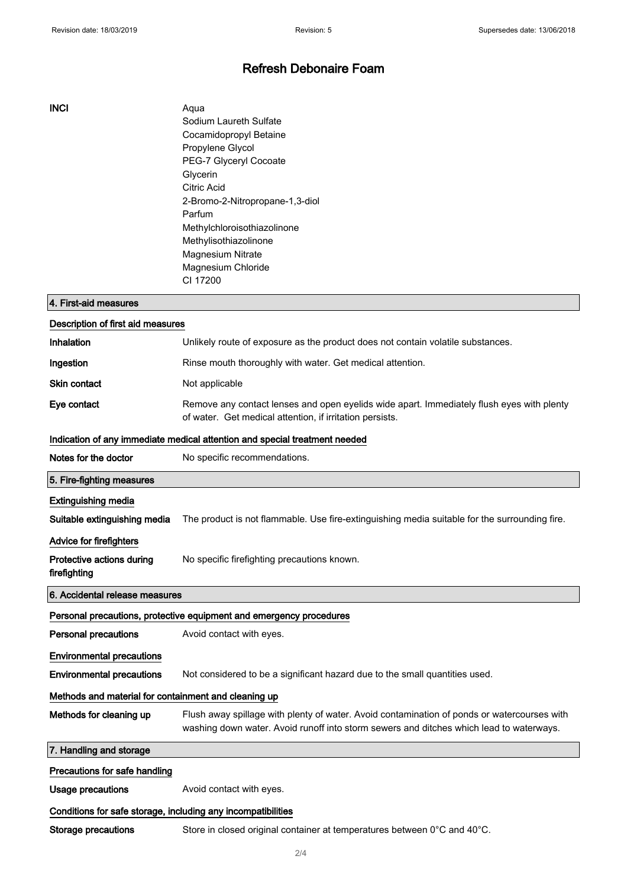### Refresh Debonaire Foam

#### INCI Aqua

Sodium Laureth Sulfate Cocamidopropyl Betaine Propylene Glycol PEG-7 Glyceryl Cocoate Glycerin Citric Acid 2-Bromo-2-Nitropropane-1,3-diol Parfum Methylchloroisothiazolinone Methylisothiazolinone Magnesium Nitrate Magnesium Chloride CI 17200

| 4. First-aid measures                                                      |                                                                                                                                                                                        |  |  |
|----------------------------------------------------------------------------|----------------------------------------------------------------------------------------------------------------------------------------------------------------------------------------|--|--|
| Description of first aid measures                                          |                                                                                                                                                                                        |  |  |
| <b>Inhalation</b>                                                          | Unlikely route of exposure as the product does not contain volatile substances.                                                                                                        |  |  |
| Ingestion                                                                  | Rinse mouth thoroughly with water. Get medical attention.                                                                                                                              |  |  |
| Skin contact                                                               | Not applicable                                                                                                                                                                         |  |  |
| Eye contact                                                                | Remove any contact lenses and open eyelids wide apart. Immediately flush eyes with plenty<br>of water. Get medical attention, if irritation persists.                                  |  |  |
| Indication of any immediate medical attention and special treatment needed |                                                                                                                                                                                        |  |  |
| Notes for the doctor                                                       | No specific recommendations.                                                                                                                                                           |  |  |
| 5. Fire-fighting measures                                                  |                                                                                                                                                                                        |  |  |
| <b>Extinguishing media</b>                                                 |                                                                                                                                                                                        |  |  |
| Suitable extinguishing media                                               | The product is not flammable. Use fire-extinguishing media suitable for the surrounding fire.                                                                                          |  |  |
| Advice for firefighters                                                    |                                                                                                                                                                                        |  |  |
| Protective actions during<br>firefighting                                  | No specific firefighting precautions known.                                                                                                                                            |  |  |
| 6. Accidental release measures                                             |                                                                                                                                                                                        |  |  |
| Personal precautions, protective equipment and emergency procedures        |                                                                                                                                                                                        |  |  |
| <b>Personal precautions</b>                                                | Avoid contact with eyes.                                                                                                                                                               |  |  |
| <b>Environmental precautions</b>                                           |                                                                                                                                                                                        |  |  |
| <b>Environmental precautions</b>                                           | Not considered to be a significant hazard due to the small quantities used.                                                                                                            |  |  |
| Methods and material for containment and cleaning up                       |                                                                                                                                                                                        |  |  |
| Methods for cleaning up                                                    | Flush away spillage with plenty of water. Avoid contamination of ponds or watercourses with<br>washing down water. Avoid runoff into storm sewers and ditches which lead to waterways. |  |  |
| 7. Handling and storage                                                    |                                                                                                                                                                                        |  |  |
| Precautions for safe handling                                              |                                                                                                                                                                                        |  |  |
| <b>Usage precautions</b>                                                   | Avoid contact with eyes.                                                                                                                                                               |  |  |
| Conditions for safe storage, including any incompatibilities               |                                                                                                                                                                                        |  |  |
| Storage precautions                                                        | Store in closed original container at temperatures between $0^{\circ}$ C and 40 $^{\circ}$ C.                                                                                          |  |  |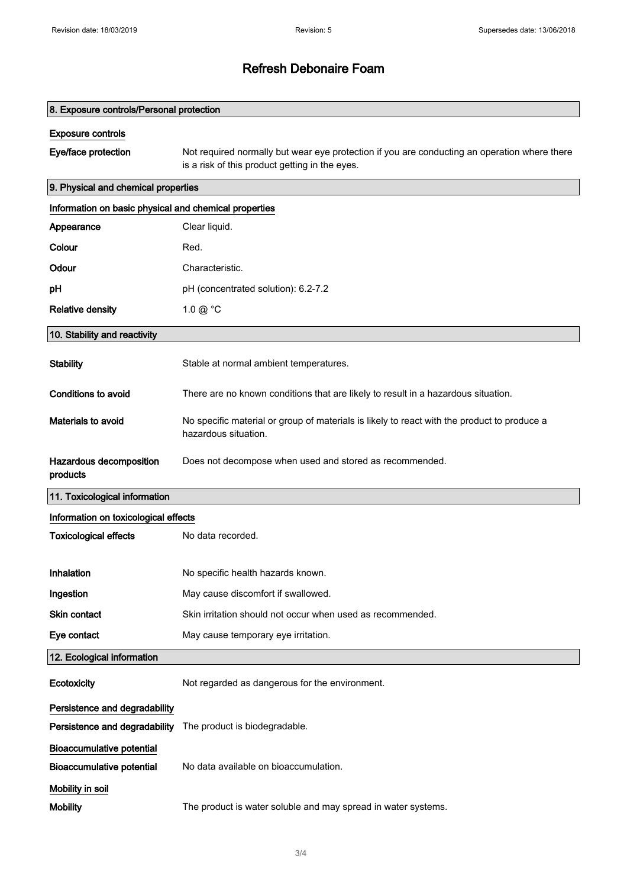## Refresh Debonaire Foam

| 8. Exposure controls/Personal protection              |                                                                                                                                                |  |
|-------------------------------------------------------|------------------------------------------------------------------------------------------------------------------------------------------------|--|
| <b>Exposure controls</b>                              |                                                                                                                                                |  |
| Eye/face protection                                   | Not required normally but wear eye protection if you are conducting an operation where there<br>is a risk of this product getting in the eyes. |  |
| 9. Physical and chemical properties                   |                                                                                                                                                |  |
| Information on basic physical and chemical properties |                                                                                                                                                |  |
| Appearance                                            | Clear liquid.                                                                                                                                  |  |
| Colour                                                | Red.                                                                                                                                           |  |
| Odour                                                 | Characteristic.                                                                                                                                |  |
| рH                                                    | pH (concentrated solution): 6.2-7.2                                                                                                            |  |
| <b>Relative density</b>                               | $1.0 \ @$ °C                                                                                                                                   |  |
| 10. Stability and reactivity                          |                                                                                                                                                |  |
| <b>Stability</b>                                      | Stable at normal ambient temperatures.                                                                                                         |  |
| Conditions to avoid                                   | There are no known conditions that are likely to result in a hazardous situation.                                                              |  |
| Materials to avoid                                    | No specific material or group of materials is likely to react with the product to produce a<br>hazardous situation.                            |  |
| Hazardous decomposition<br>products                   | Does not decompose when used and stored as recommended.                                                                                        |  |
| 11. Toxicological information                         |                                                                                                                                                |  |
| Information on toxicological effects                  |                                                                                                                                                |  |
| <b>Toxicological effects</b>                          | No data recorded.                                                                                                                              |  |
| Inhalation                                            | No specific health hazards known.                                                                                                              |  |
| Ingestion                                             | May cause discomfort if swallowed.                                                                                                             |  |
| Skin contact                                          | Skin irritation should not occur when used as recommended.                                                                                     |  |
| Eye contact                                           | May cause temporary eye irritation.                                                                                                            |  |
| 12. Ecological information                            |                                                                                                                                                |  |
| Ecotoxicity                                           | Not regarded as dangerous for the environment.                                                                                                 |  |
| Persistence and degradability                         |                                                                                                                                                |  |
| Persistence and degradability                         | The product is biodegradable.                                                                                                                  |  |
| <b>Bioaccumulative potential</b>                      |                                                                                                                                                |  |
| <b>Bioaccumulative potential</b>                      | No data available on bioaccumulation.                                                                                                          |  |
| Mobility in soil                                      |                                                                                                                                                |  |
| <b>Mobility</b>                                       | The product is water soluble and may spread in water systems.                                                                                  |  |